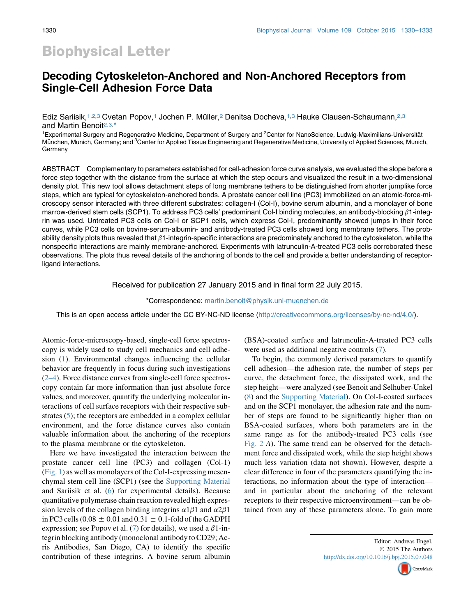# Biophysical Letter

## Decoding Cytoskeleton-Anchored and Non-Anchored Receptors from Single-Cell Adhesion Force Data

Ediz Sariisik,<sup>1,2,3</sup> Cvetan Popov,<sup>1</sup> Jochen P. Müller,<sup>2</sup> Denitsa Docheva,<sup>1,3</sup> Hauke Clausen-Schaumann,<sup>2,3</sup> and Martin Benoit<sup>2,3,\*</sup>

<sup>1</sup> Experimental Surgery and Regenerative Medicine, Department of Surgery and <sup>2</sup> Center for NanoScience, Ludwig-Maximilians-Universität München, Munich, Germany; and <sup>3</sup>Center for Applied Tissue Engineering and Regenerative Medicine, University of Applied Sciences, Munich, **Germany** 

ABSTRACT Complementary to parameters established for cell-adhesion force curve analysis, we evaluated the slope before a force step together with the distance from the surface at which the step occurs and visualized the result in a two-dimensional density plot. This new tool allows detachment steps of long membrane tethers to be distinguished from shorter jumplike force steps, which are typical for cytoskeleton-anchored bonds. A prostate cancer cell line (PC3) immobilized on an atomic-force-microscopy sensor interacted with three different substrates: collagen-I (Col-I), bovine serum albumin, and a monolayer of bone marrow-derived stem cells (SCP1). To address PC3 cells' predominant Col-I binding molecules, an antibody-blocking  $\beta$ 1-integrin was used. Untreated PC3 cells on Col-I or SCP1 cells, which express Col-I, predominantly showed jumps in their force curves, while PC3 cells on bovine-serum-albumin- and antibody-treated PC3 cells showed long membrane tethers. The probability density plots thus revealed that  $\beta$ 1-integrin-specific interactions are predominately anchored to the cytoskeleton, while the nonspecific interactions are mainly membrane-anchored. Experiments with latrunculin-A-treated PC3 cells corroborated these observations. The plots thus reveal details of the anchoring of bonds to the cell and provide a better understanding of receptorligand interactions.

Received for publication 27 January 2015 and in final form 22 July 2015.

\*Correspondence: [martin.benoit@physik.uni-muenchen.de](mailto:martin.benoit@physik.uni-muenchen.de)

This is an open access article under the CC BY-NC-ND license [\(http://creativecommons.org/licenses/by-nc-nd/4.0/\)](http://creativecommons.org/licenses/by-nc-nd/4.0/).

Atomic-force-microscopy-based, single-cell force spectroscopy is widely used to study cell mechanics and cell adhesion [\(1](#page-3-0)). Environmental changes influencing the cellular behavior are frequently in focus during such investigations ([2–4\)](#page-3-0). Force distance curves from single-cell force spectroscopy contain far more information than just absolute force values, and moreover, quantify the underlying molecular interactions of cell surface receptors with their respective sub-strates ([5\)](#page-3-0); the receptors are embedded in a complex cellular environment, and the force distance curves also contain valuable information about the anchoring of the receptors to the plasma membrane or the cytoskeleton.

Here we have investigated the interaction between the prostate cancer cell line (PC3) and collagen (Col-1) ([Fig. 1](#page-1-0)) as well as monolayers of the Col-I-expressing mesenchymal stem cell line (SCP1) (see the [Supporting Material](#page-2-0) and Sariisik et al. ([6\)](#page-3-0) for experimental details). Because quantitative polymerase chain reaction revealed high expression levels of the collagen binding integrins  $\alpha 1\beta 1$  and  $\alpha 2\beta 1$ in PC3 cells (0.08  $\pm$  0.01 and 0.31  $\pm$  0.1-fold of the GADPH expression; see Popov et al. [\(7](#page-3-0)) for details), we used a  $\beta$ 1-integrin blocking antibody (monoclonal antibody to CD29; Acris Antibodies, San Diego, CA) to identify the specific contribution of these integrins. A bovine serum albumin (BSA)-coated surface and latrunculin-A-treated PC3 cells were used as additional negative controls ([7\)](#page-3-0).

To begin, the commonly derived parameters to quantify cell adhesion—the adhesion rate, the number of steps per curve, the detachment force, the dissipated work, and the step height—were analyzed (see Benoit and Selhuber-Unkel ([8\)](#page-3-0) and the [Supporting Material](#page-2-0)). On Col-I-coated surfaces and on the SCP1 monolayer, the adhesion rate and the number of steps are found to be significantly higher than on BSA-coated surfaces, where both parameters are in the same range as for the antibody-treated PC3 cells (see [Fig. 2](#page-1-0) A). The same trend can be observed for the detachment force and dissipated work, while the step height shows much less variation (data not shown). However, despite a clear difference in four of the parameters quantifying the interactions, no information about the type of interaction and in particular about the anchoring of the relevant receptors to their respective microenvironment—can be obtained from any of these parameters alone. To gain more

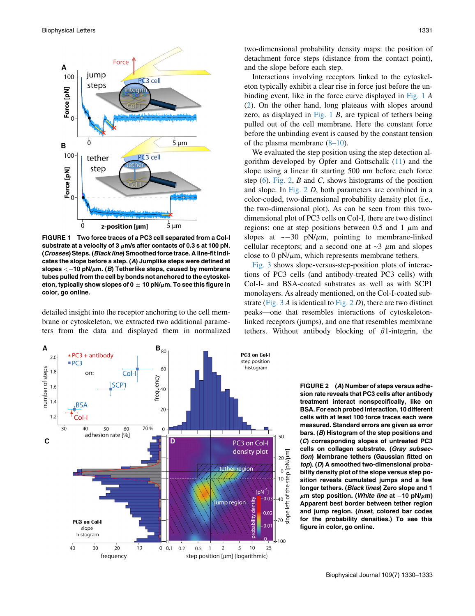<span id="page-1-0"></span>

FIGURE 1 Two force traces of a PC3 cell separated from a Col-I substrate at a velocity of 3  $\mu$ m/s after contacts of 0.3 s at 100 pN. (Crosses) Steps. (Black line) Smoothed force trace. A line-fit indicates the slope before a step. (A) Jumplike steps were defined at slopes  $<-10$  pN/ $\mu$ m. (B) Tetherlike steps, caused by membrane tubes pulled from the cell by bonds not anchored to the cytoskeleton, typically show slopes of 0  $\pm$  10 pN/ $\mu$ m. To see this figure in color, go online.

detailed insight into the receptor anchoring to the cell membrane or cytoskeleton, we extracted two additional parameters from the data and displayed them in normalized



two-dimensional probability density maps: the position of detachment force steps (distance from the contact point), and the slope before each step.

Interactions involving receptors linked to the cytoskeleton typically exhibit a clear rise in force just before the unbinding event, like in the force curve displayed in Fig. 1 A ([2\)](#page-3-0). On the other hand, long plateaus with slopes around zero, as displayed in Fig.  $1 \, B$ , are typical of tethers being pulled out of the cell membrane. Here the constant force before the unbinding event is caused by the constant tension of the plasma membrane [\(8–10\)](#page-3-0).

We evaluated the step position using the step detection algorithm developed by Opfer and Gottschalk ([11](#page-3-0)) and the slope using a linear fit starting 500 nm before each force step  $(6)$  $(6)$ . Fig. 2, B and C, shows histograms of the position and slope. In Fig. 2 D, both parameters are combined in a color-coded, two-dimensional probability density plot (i.e., the two-dimensional plot). As can be seen from this twodimensional plot of PC3 cells on Col-I, there are two distinct regions: one at step positions between 0.5 and 1  $\mu$ m and slopes at  $\sim$  -30 pN/ $\mu$ m, pointing to membrane-linked cellular receptors; and a second one at  $\sim$ 3  $\mu$ m and slopes close to  $0 \text{ pN}/\mu \text{m}$ , which represents membrane tethers.

[Fig. 3](#page-2-0) shows slope-versus-step-position plots of interactions of PC3 cells (and antibody-treated PC3 cells) with Col-I- and BSA-coated substrates as well as with SCP1 monolayers. As already mentioned, on the Col-I-coated substrate (Fig.  $3A$  is identical to Fig.  $2D$ ), there are two distinct peaks—one that resembles interactions of cytoskeletonlinked receptors (jumps), and one that resembles membrane tethers. Without antibody blocking of  $\beta$ 1-integrin, the

> FIGURE 2 (A) Number of steps versus adhesion rate reveals that PC3 cells after antibody treatment interact nonspecifically, like on BSA. For each probed interaction, 10 different cells with at least 100 force traces each were measured. Standard errors are given as error bars. (B) Histogram of the step positions and (C) corresponding slopes of untreated PC3 cells on collagen substrate. (Gray subsection) Membrane tethers (Gaussian fitted on top). (D) A smoothed two-dimensional probability density plot of the slope versus step position reveals cumulated jumps and a few longer tethers. (Black lines) Zero slope and 1  $\mu$ m step position. (White line at -10 pN/ $\mu$ m) Apparent best border between tether region and jump region. (Inset, colored bar codes for the probability densities.) To see this figure in color, go online.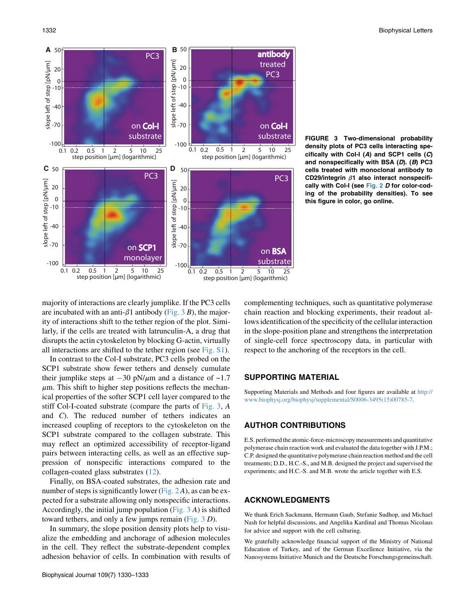<span id="page-2-0"></span>

FIGURE 3 Two-dimensional probability density plots of PC3 cells interacting specifically with Col-I  $(A)$  and SCP1 cells  $(C)$ and nonspecifically with BSA  $(D)$ .  $(B)$  PC3 cells treated with monoclonal antibody to CD29/integrin  $\beta$ 1 also interact nonspecifi-cally with Col-I (see [Fig. 2](#page-1-0) D for color-coding of the probability densities). To see this figure in color, go online.

majority of interactions are clearly jumplike. If the PC3 cells are incubated with an anti- $\beta$ 1 antibody (Fig. 3 B), the majority of interactions shift to the tether region of the plot. Similarly, if the cells are treated with latrunculin-A, a drug that disrupts the actin cytoskeleton by blocking G-actin, virtually all interactions are shifted to the tether region (see Fig. S1).

In contrast to the Col-I substrate, PC3 cells probed on the SCP1 substrate show fewer tethers and densely cumulate their jumplike steps at  $-30$  pN/ $\mu$ m and a distance of  $\sim$ 1.7  $\mu$ m. This shift to higher step positions reflects the mechanical properties of the softer SCP1 cell layer compared to the stiff Col-I-coated substrate (compare the parts of Fig. 3, A and C). The reduced number of tethers indicates an increased coupling of receptors to the cytoskeleton on the SCP1 substrate compared to the collagen substrate. This may reflect an optimized accessibility of receptor-ligand pairs between interacting cells, as well as an effective suppression of nonspecific interactions compared to the collagen-coated glass substrates ([12\)](#page-3-0).

Finally, on BSA-coated substrates, the adhesion rate and number of steps is significantly lower ([Fig. 2](#page-1-0)A), as can be expected for a substrate allowing only nonspecific interactions. Accordingly, the initial jump population (Fig. 3 A) is shifted toward tethers, and only a few jumps remain (Fig. 3 D).

In summary, the slope position density plots help to visualize the embedding and anchorage of adhesion molecules in the cell. They reflect the substrate-dependent complex adhesion behavior of cells. In combination with results of complementing techniques, such as quantitative polymerase chain reaction and blocking experiments, their readout allows identification of the specificity of the cellular interaction in the slope-position plane and strengthens the interpretation of single-cell force spectroscopy data, in particular with respect to the anchoring of the receptors in the cell.

#### SUPPORTING MATERIAL

Supporting Materials and Methods and four figures are available at [http://](http://www.biophysj.org/biophysj/supplemental/S0006-3495(15)00785-7) [www.biophysj.org/biophysj/supplemental/S0006-3495\(15\)00785-7](http://www.biophysj.org/biophysj/supplemental/S0006-3495(15)00785-7).

#### AUTHOR CONTRIBUTIONS

E.S. performed the atomic-force-microscopy measurements and quantitative polymerase chain reaction work and evaluated the data together with J.P.M.; C.P. designed the quantitative polymerase chain reaction method and the cell treatments; D.D., H.C.-S., and M.B. designed the project and supervised the experiments; and H.C.-S. and M.B. wrote the article together with E.S.

### ACKNOWLEDGMENTS

We thank Erich Sackmann, Hermann Gaub, Stefanie Sudhop, and Michael Nash for helpful discussions, and Angelika Kardinal and Thomas Nicolaus for advice and support with the cell culturing.

We gratefully acknowledge financial support of the Ministry of National Education of Turkey, and of the German Excellence Initiative, via the Nanosystems Initiative Munich and the Deutsche Forschungsgemeinschaft.